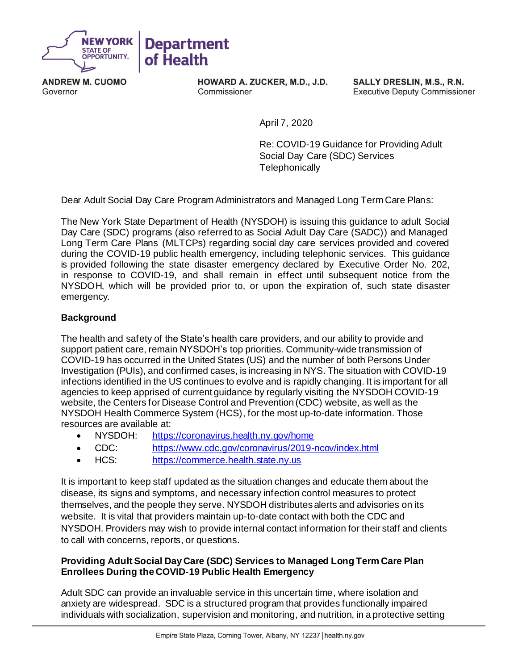

**ANDREW M. CUOMO**  Governor

**HOWARD A. ZUCKER, M.D., J.D.**  Commissioner

**SALLY DRESLIN, M.S., R.N.**  Executive Deputy Commissioner

April 7, 2020

 Re: COVID-19 Guidance for Providing Adult Social Day Care (SDC) Services **Telephonically** 

Dear Adult Social Day Care Program Administrators and Managed Long Term Care Plans:

 The New York State Department of Health (NYSDOH) is issuing this guidance to adult Social Day Care (SDC) programs (also referred to as Social Adult Day Care (SADC)) and Managed Long Term Care Plans (MLTCPs) regarding social day care services provided and covered during the COVID-19 public health emergency, including telephonic services. This guidance is provided following the state disaster emergency declared by Executive Order No. 202, in response to COVID-19, and shall remain in effect until subsequent notice from the NYSDOH, which will be provided prior to, or upon the expiration of, such state disaster emergency.

# **Background**

 The health and safety of the State's health care providers, and our ability to provide and support patient care, remain NYSDOH's top priorities. Community-wide transmission of COVID-19 has occurred in the United States (US) and the number of both Persons Under Investigation (PUIs), and confirmed cases, is increasing in NYS. The situation with COVID-19 infections identified in the US continues to evolve and is rapidly changing. It is important for all agencies to keep apprised of current guidance by regularly visiting the NYSDOH COVID-19 website, the Centers for Disease Control and Prevention (CDC) website, as well as the NYSDOH Health Commerce System (HCS), for the most up-to-date information. Those resources are available at:

- NYSDOH: • NYSDOH: <https://coronavirus.health.ny.gov/home>
- CDC: <https://www.cdc.gov/coronavirus/2019-ncov/index.html>
- HCS: [https://commerce.health.state.ny.us](https://commerce.health.state.ny.us/)

 It is important to keep staff updated as the situation changes and educate them about the disease, its signs and symptoms, and necessary infection control measures to protect themselves, and the people they serve. NYSDOH distributes alerts and advisories on its website. It is vital that providers maintain up-to-date contact with both the CDC and NYSDOH. Providers may wish to provide internal contact information for their staff and clients to call with concerns, reports, or questions.

# **Providing Adult Social Day Care (SDC) Services to Managed Long Term Care Plan Enrollees During the COVID-19 Public Health Emergency**

 Adult SDC can provide an invaluable service in this uncertain time, where isolation and anxiety are widespread. SDC is a structured program that provides functionally impaired individuals with socialization, supervision and monitoring, and nutrition, in a protective setting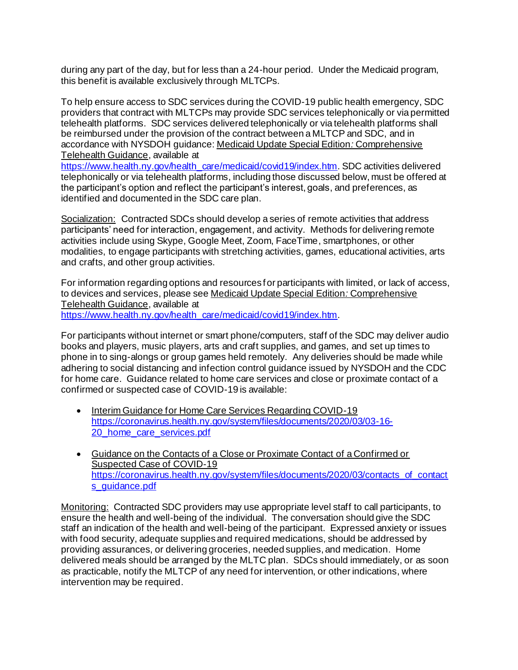during any part of the day, but for less than a 24-hour period. Under the Medicaid program, this benefit is available exclusively through MLTCPs.

 To help ensure access to SDC services during the COVID-19 public health emergency, SDC providers that contract with MLTCPs may provide SDC services telephonically or via permitted telehealth platforms. SDC services delivered telephonically or via telehealth platforms shall be reimbursed under the provision of the contract between a MLTCP and SDC, and in accordance with NYSDOH guidance: Medicaid Update Special Edition*:* Comprehensive Telehealth Guidance, available at

 telephonically or via telehealth platforms, including those discussed below, must be offered at the participant's option and reflect the participant's interest, goals, and preferences, as [https://www.health.ny.gov/health\\_care/medicaid/covid19/index.htm.](https://www.health.ny.gov/health_care/medicaid/covid19/index.htm) SDC activities delivered identified and documented in the SDC care plan.

Socialization: Contracted SDCs should develop a series of remote activities that address participants' need for interaction, engagement, and activity. Methods for delivering remote activities include using Skype, Google Meet, Zoom, FaceTime, smartphones, or other modalities, to engage participants with stretching activities, games, educational activities, arts and crafts, and other group activities.

 For information regarding options and resources f or participants with limited, or lack of access, to devices and services, please see Medicaid Update Special Edition*:* Comprehensive Telehealth Guidance, available at [https://www.health.ny.gov/health\\_care/medicaid/covid19/index.htm.](https://www.health.ny.gov/health_care/medicaid/covid19/index.htm)

 For participants without internet or smart phone/computers, staff of the SDC may deliver audio books and players, music players, arts and craft supplies, and games, and set up times to phone in to sing-alongs or group games held remotely. Any deliveries should be made while adhering to social distancing and infection control guidance issued by NYSDOH and the CDC for home care. Guidance related to home care services and close or proximate contact of a confirmed or suspected case of COVID-19 is available:

- Interim Guidance for Home Care Services Regarding COVID-19 [https://coronavirus.health.ny.gov/system/files/documents/2020/03/03-16-](https://coronavirus.health.ny.gov/system/files/documents/2020/03/03-16-20_home_care_services.pdf) 20 home care services.pdf
- Guidance on the Contacts of a Close or Proximate Contact of a Confirmed or Suspected Case of COVID-19 https://coronavirus.health.ny.gov/system/files/documents/2020/03/contacts\_of\_contact s\_quidance.pdf

Monitoring: Contracted SDC providers may use appropriate level staff to call participants, to ensure the health and well-being of the individual. The conversation should give the SDC staff an indication of the health and well-being of the participant. Expressed anxiety or issues with food security, adequate supplies and required medications, should be addressed by providing assurances, or delivering groceries, needed supplies, and medication. Home delivered meals should be arranged by the MLTC plan. SDCs should immediately, or as soon as practicable, notify the MLTCP of any need for intervention, or other indications, where intervention may be required.